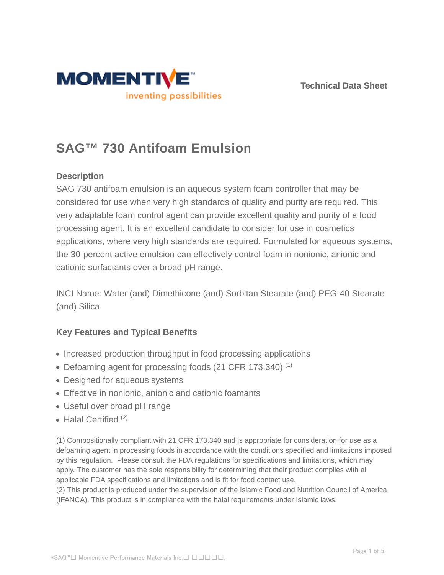



# **SAG™ 730 Antifoam Emulsion**

## **Description**

SAG 730 antifoam emulsion is an aqueous system foam controller that may be considered for use when very high standards of quality and purity are required. This very adaptable foam control agent can provide excellent quality and purity of a food processing agent. It is an excellent candidate to consider for use in cosmetics applications, where very high standards are required. Formulated for aqueous systems, the 30-percent active emulsion can effectively control foam in nonionic, anionic and cationic surfactants over a broad pH range.

INCI Name: Water (and) Dimethicone (and) Sorbitan Stearate (and) PEG-40 Stearate (and) Silica

## **Key Features and Typical Benefits**

- Increased production throughput in food processing applications
- Defoaming agent for processing foods (21 CFR 173.340)<sup>(1)</sup>
- Designed for aqueous systems
- Effective in nonionic, anionic and cationic foamants
- Useful over broad pH range
- $\bullet$  Halal Certified  $(2)$

(1) Compositionally compliant with 21 CFR 173.340 and is appropriate for consideration for use as a defoaming agent in processing foods in accordance with the conditions specified and limitations imposed by this regulation. Please consult the FDA regulations for specifications and limitations, which may apply. The customer has the sole responsibility for determining that their product complies with all applicable FDA specifications and limitations and is fit for food contact use.

(2) This product is produced under the supervision of the Islamic Food and Nutrition Council of America (IFANCA). This product is in compliance with the halal requirements under Islamic laws.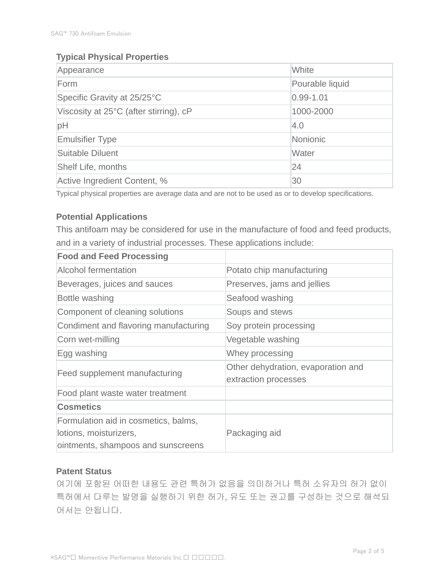## **Typical Physical Properties**

| Appearance                             | White           |  |
|----------------------------------------|-----------------|--|
| Form                                   | Pourable liquid |  |
| Specific Gravity at 25/25°C            | $0.99 - 1.01$   |  |
| Viscosity at 25°C (after stirring), cP | 1000-2000       |  |
| pH                                     | 4.0             |  |
| <b>Emulsifier Type</b>                 | Nonionic        |  |
| Suitable Diluent                       | Water           |  |
| <b>Shelf Life, months</b>              | 24              |  |
| Active Ingredient Content, %           | 30              |  |

Typical physical properties are average data and are not to be used as or to develop specifications.

## **Potential Applications**

This antifoam may be considered for use in the manufacture of food and feed products, and in a variety of industrial processes. These applications include:

| <b>Food and Feed Processing</b>                                                                      |                                                            |  |
|------------------------------------------------------------------------------------------------------|------------------------------------------------------------|--|
| Alcohol fermentation                                                                                 | Potato chip manufacturing                                  |  |
| Beverages, juices and sauces                                                                         | Preserves, jams and jellies                                |  |
| Bottle washing                                                                                       | Seafood washing                                            |  |
| Component of cleaning solutions                                                                      | Soups and stews                                            |  |
| Condiment and flavoring manufacturing                                                                | Soy protein processing                                     |  |
| Corn wet-milling                                                                                     | Vegetable washing                                          |  |
| Egg washing                                                                                          | Whey processing                                            |  |
| <b>Feed supplement manufacturing</b>                                                                 | Other dehydration, evaporation and<br>extraction processes |  |
| Food plant waste water treatment                                                                     |                                                            |  |
| <b>Cosmetics</b>                                                                                     |                                                            |  |
| Formulation aid in cosmetics, balms,<br>lotions, moisturizers,<br>ointments, shampoos and sunscreens | Packaging aid                                              |  |

#### **Patent Status**

여기에 포함된 어떠한 내용도 관련 특허가 없음을 의미하거나 특허 소유자의 허가 없이 특허에서 다루는 발명을 실행하기 위한 허가, 유도 또는 권고를 구성하는 것으로 해석되 어서는 안됩니다.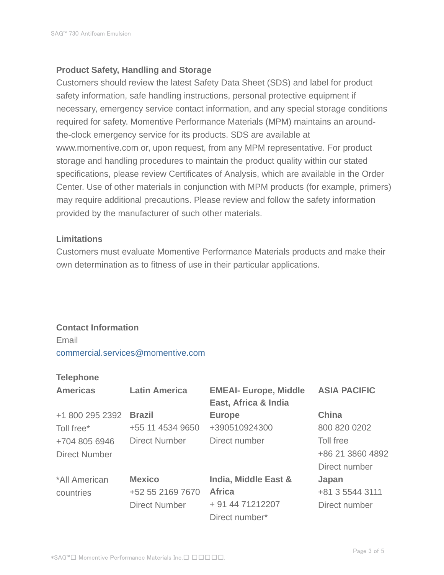#### **Product Safety, Handling and Storage**

Customers should review the latest Safety Data Sheet (SDS) and label for product safety information, safe handling instructions, personal protective equipment if necessary, emergency service contact information, and any special storage conditions required for safety. Momentive Performance Materials (MPM) maintains an aroundthe-clock emergency service for its products. SDS are available at www.momentive.com or, upon request, from any MPM representative. For product storage and handling procedures to maintain the product quality within our stated specifications, please review Certificates of Analysis, which are available in the Order Center. Use of other materials in conjunction with MPM products (for example, primers) may require additional precautions. Please review and follow the safety information provided by the manufacturer of such other materials.

#### **Limitations**

Customers must evaluate Momentive Performance Materials products and make their own determination as to fitness of use in their particular applications.

## **Contact Information**

Email commercial.services@momentive.com

#### **Telephone**

| <b>Americas</b>      | <b>Latin America</b> | <b>EMEAI- Europe, Middle</b><br>East, Africa & India | <b>ASIA PACIFIC</b> |
|----------------------|----------------------|------------------------------------------------------|---------------------|
| +1 800 295 2392      | <b>Brazil</b>        | <b>Europe</b>                                        | <b>China</b>        |
| Toll free*           | +55 11 4534 9650     | +390510924300                                        | 800 820 0202        |
| +704 805 6946        | <b>Direct Number</b> | Direct number                                        | Toll free           |
| <b>Direct Number</b> |                      |                                                      | +86 21 3860 4892    |
|                      |                      |                                                      | Direct number       |
| *All American        | <b>Mexico</b>        | India, Middle East &                                 | Japan               |
| countries            | +52 55 2169 7670     | <b>Africa</b>                                        | +81 3 5544 3111     |
|                      | <b>Direct Number</b> | + 91 44 71212207                                     | Direct number       |
|                      |                      | Direct number*                                       |                     |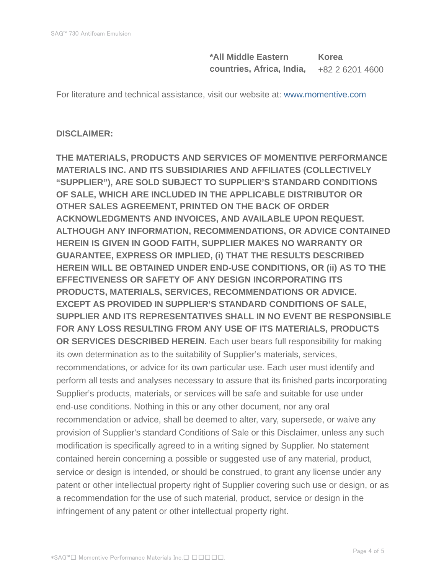**\*All Middle Eastern countries, Africa, India, Korea** +82 2 6201 4600

For literature and technical assistance, visit our website at: www.momentive.com

#### **DISCLAIMER:**

**THE MATERIALS, PRODUCTS AND SERVICES OF MOMENTIVE PERFORMANCE MATERIALS INC. AND ITS SUBSIDIARIES AND AFFILIATES (COLLECTIVELY "SUPPLIER"), ARE SOLD SUBJECT TO SUPPLIER'S STANDARD CONDITIONS OF SALE, WHICH ARE INCLUDED IN THE APPLICABLE DISTRIBUTOR OR OTHER SALES AGREEMENT, PRINTED ON THE BACK OF ORDER ACKNOWLEDGMENTS AND INVOICES, AND AVAILABLE UPON REQUEST. ALTHOUGH ANY INFORMATION, RECOMMENDATIONS, OR ADVICE CONTAINED HEREIN IS GIVEN IN GOOD FAITH, SUPPLIER MAKES NO WARRANTY OR GUARANTEE, EXPRESS OR IMPLIED, (i) THAT THE RESULTS DESCRIBED HEREIN WILL BE OBTAINED UNDER END-USE CONDITIONS, OR (ii) AS TO THE EFFECTIVENESS OR SAFETY OF ANY DESIGN INCORPORATING ITS PRODUCTS, MATERIALS, SERVICES, RECOMMENDATIONS OR ADVICE. EXCEPT AS PROVIDED IN SUPPLIER'S STANDARD CONDITIONS OF SALE, SUPPLIER AND ITS REPRESENTATIVES SHALL IN NO EVENT BE RESPONSIBLE FOR ANY LOSS RESULTING FROM ANY USE OF ITS MATERIALS, PRODUCTS OR SERVICES DESCRIBED HEREIN.** Each user bears full responsibility for making its own determination as to the suitability of Supplier's materials, services, recommendations, or advice for its own particular use. Each user must identify and perform all tests and analyses necessary to assure that its finished parts incorporating Supplier's products, materials, or services will be safe and suitable for use under end-use conditions. Nothing in this or any other document, nor any oral recommendation or advice, shall be deemed to alter, vary, supersede, or waive any provision of Supplier's standard Conditions of Sale or this Disclaimer, unless any such modification is specifically agreed to in a writing signed by Supplier. No statement contained herein concerning a possible or suggested use of any material, product, service or design is intended, or should be construed, to grant any license under any patent or other intellectual property right of Supplier covering such use or design, or as a recommendation for the use of such material, product, service or design in the infringement of any patent or other intellectual property right.